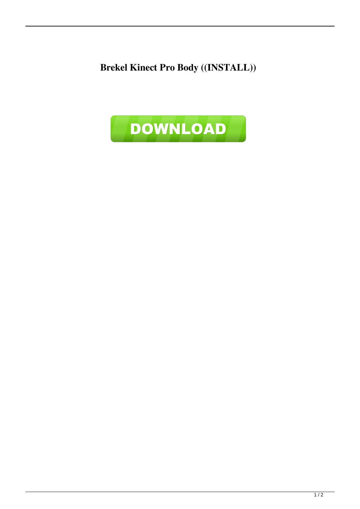**Brekel Kinect Pro Body ((INSTALL))**